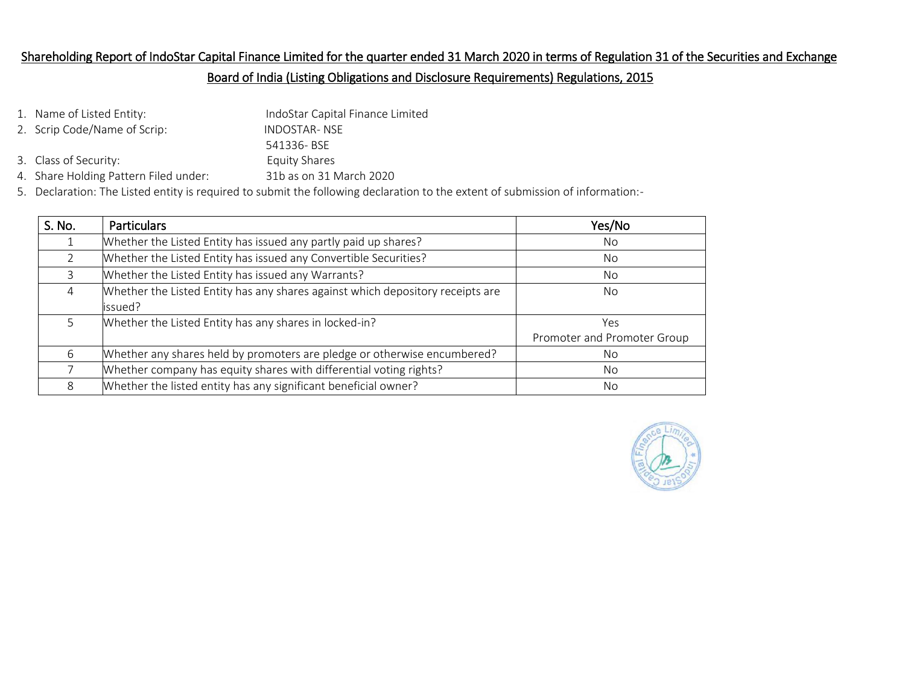# Shareholding Report of IndoStar Capital Finance Limited for the quarter ended 31 March 2020 in terms of Regulation 31 of the Securities and Exchange

## Board of India (Listing Obligations and Disclosure Requirements) Regulations, 2015

| 1. Name of Listed Entity:             | IndoStar Capital Finance Limited                                                                                               |
|---------------------------------------|--------------------------------------------------------------------------------------------------------------------------------|
| 2. Scrip Code/Name of Scrip:          | INDOSTAR- NSE                                                                                                                  |
|                                       | 541336-BSE                                                                                                                     |
| 3. Class of Security:                 | <b>Equity Shares</b>                                                                                                           |
| 4. Share Holding Pattern Filed under: | 31b as on 31 March 2020                                                                                                        |
|                                       | 5. Declaration: The Listed entity is required to submit the following declaration to the extent of submission of information:- |

| S. No. | <b>Particulars</b>                                                                        | Yes/No                             |
|--------|-------------------------------------------------------------------------------------------|------------------------------------|
|        | Whether the Listed Entity has issued any partly paid up shares?                           | No.                                |
|        | Whether the Listed Entity has issued any Convertible Securities?                          | No.                                |
| 3      | Whether the Listed Entity has issued any Warrants?                                        | No.                                |
| 4      | Whether the Listed Entity has any shares against which depository receipts are<br>issued? | No                                 |
|        | Whether the Listed Entity has any shares in locked-in?                                    | Yes<br>Promoter and Promoter Group |
| 6      | Whether any shares held by promoters are pledge or otherwise encumbered?                  | No.                                |
|        | Whether company has equity shares with differential voting rights?                        | No.                                |
| 8      | Whether the listed entity has any significant beneficial owner?                           | No.                                |

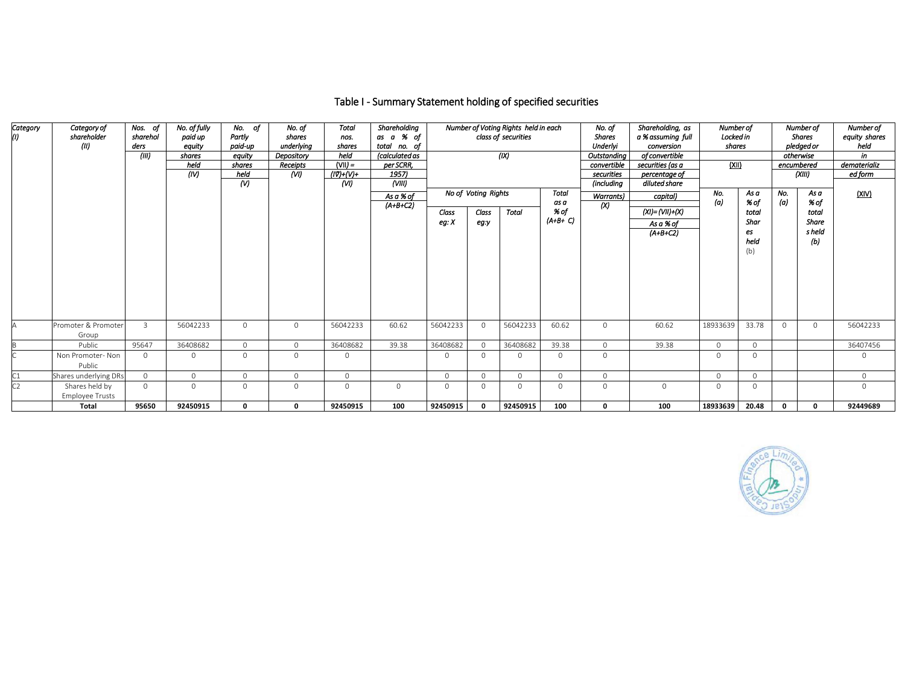| Category<br>(I) | Category of<br>shareholder<br>(11)       | Nos. of<br>sharehol<br>ders<br>(III) | No. of fully<br>paid up<br>equity<br>shares<br>held<br>(IV) | No. of<br>Partly<br>paid-up<br>eauity<br>shares<br>held<br>$\omega$ | No. of<br>shares<br>underlvina<br>Depository<br><b>Receipts</b><br>(W) | <b>Total</b><br>nos.<br>shares<br>held<br>$(VII) =$<br>$(IV)+(V)+$<br>(VI) | Shareholding<br>as a % of<br>total<br>no. of<br>(calculated as<br>per SCRR,<br>1957)<br>(WIII) |                |                     | Number of Voting Rights held in each<br>class of securities<br>$\overline{1}$ |                      | No. of<br><b>Shares</b><br>Underlyi<br>Outstandina<br>convertible<br>securities<br>(including | Shareholding, as<br>a % assuming full<br>conversion<br>of convertible<br>securities (as a<br>percentage of<br>diluted share | Number of<br>Locked in<br>shares<br>(XII) |                                    |             | Number of<br><b>Shares</b><br>pledged or<br>otherwise<br>encumbered<br>(XIII) | Number of<br>equity shares<br>held<br>in<br>dematerializ<br>ed form |
|-----------------|------------------------------------------|--------------------------------------|-------------------------------------------------------------|---------------------------------------------------------------------|------------------------------------------------------------------------|----------------------------------------------------------------------------|------------------------------------------------------------------------------------------------|----------------|---------------------|-------------------------------------------------------------------------------|----------------------|-----------------------------------------------------------------------------------------------|-----------------------------------------------------------------------------------------------------------------------------|-------------------------------------------|------------------------------------|-------------|-------------------------------------------------------------------------------|---------------------------------------------------------------------|
|                 |                                          |                                      |                                                             |                                                                     |                                                                        |                                                                            | As a % of                                                                                      |                | No of Voting Rights |                                                                               | <b>Total</b><br>as a | <b>Warrants</b> )                                                                             | capital)                                                                                                                    | No.<br>(a)                                | As a<br>% of                       | No.<br>(a)  | As a<br>% of                                                                  | (XIV)                                                               |
|                 |                                          |                                      |                                                             |                                                                     |                                                                        |                                                                            | $(A+B+C2)$                                                                                     | Class<br>eg: X | Class<br>eg:y       | <b>Total</b>                                                                  | % of<br>$(A+B+C)$    | (x)                                                                                           | $(XI) = (VII) + (X)$<br>As a % of<br>$(A+B+C2)$                                                                             |                                           | total<br>Shar<br>es<br>held<br>(b) |             | total<br><b>Share</b><br>s held<br>(b)                                        |                                                                     |
|                 | Promoter & Promoter<br>Group             | $\mathbf{3}$                         | 56042233                                                    | $\Omega$                                                            | $\circ$                                                                | 56042233                                                                   | 60.62                                                                                          | 56042233       | $\mathbf 0$         | 56042233                                                                      | 60.62                | $\Omega$                                                                                      | 60.62                                                                                                                       | 18933639                                  | 33.78                              | $\Omega$    | $\circ$                                                                       | 56042233                                                            |
|                 | Public                                   | 95647                                | 36408682                                                    | $\Omega$                                                            | $\circ$                                                                | 36408682                                                                   | 39.38                                                                                          | 36408682       | $\Omega$            | 36408682                                                                      | 39.38                | $\circ$                                                                                       | 39.38                                                                                                                       | $\Omega$                                  | $\Omega$                           |             |                                                                               | 36407456                                                            |
|                 | Non Promoter- Non<br>Public              | $\Omega$                             | $\Omega$                                                    | $\Omega$                                                            | $\Omega$                                                               | $\circ$                                                                    |                                                                                                | $\Omega$       | $\Omega$            | $\Omega$                                                                      | $\Omega$             | $\circ$                                                                                       |                                                                                                                             | $\Omega$                                  | $\Omega$                           |             |                                                                               | $\Omega$                                                            |
|                 | Shares underlying DRs                    | $\Omega$                             | $\Omega$                                                    | $\circ$                                                             | $\circ$                                                                | $\mathbf 0$                                                                |                                                                                                | $\Omega$       | $\Omega$            | $\Omega$                                                                      | $\Omega$             | $\circ$                                                                                       |                                                                                                                             | $\Omega$                                  | $\cap$                             |             |                                                                               | $\mathbf{0}$                                                        |
| C٦              | Shares held by<br><b>Employee Trusts</b> | $\Omega$                             | $\Omega$                                                    | $\circ$                                                             | $\circ$                                                                | $\circ$                                                                    | $\circ$                                                                                        | $\Omega$       | $\circ$             | $\Omega$                                                                      | $\circ$              | $\circ$                                                                                       | $\mathbf{0}$                                                                                                                | $\Omega$                                  | $\Omega$                           |             |                                                                               | $\circ$                                                             |
|                 | Total                                    | 95650                                | 92450915                                                    | 0                                                                   | $\mathbf 0$                                                            | 92450915                                                                   | 100                                                                                            | 92450915       | $\Omega$            | 92450915                                                                      | 100                  | $\mathbf 0$                                                                                   | 100                                                                                                                         | 18933639                                  | 20.48                              | $\mathbf 0$ | $\mathbf{0}$                                                                  | 92449689                                                            |

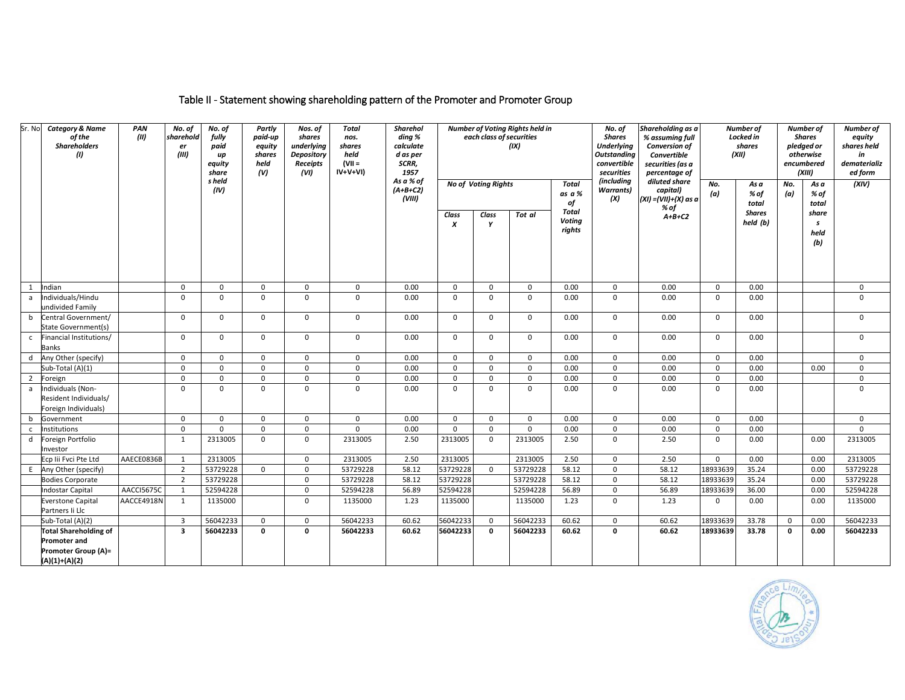## Table II - Statement showing shareholding pattern of the Promoter and Promoter Group

| Sr. No         | <b>Category &amp; Name</b><br>of the<br><b>Shareholders</b><br>(1)                            | PAN<br>(II) | No. of<br>sharehold<br>er<br>(III) | No. of<br>fully<br>paid<br>up<br>equity<br>share<br>s held<br>(IV) | Partly<br>paid-up<br>equity<br>shares<br>held<br>(V) | Nos. of<br>shares<br>underlying<br><b>Depository</b><br><b>Receipts</b><br>(VI) | <b>Total</b><br>nos.<br>shares<br>held<br>$ V   =$<br>$IV+V+VI$ | <b>Sharehol</b><br>ding %<br>calculate<br>d as per<br>SCRR,<br>1957<br>As a % of<br>$(A+B+C2)$ | Number of Voting Rights held in<br>each class of securities<br>(IX)<br><b>No of Voting Rights</b><br>Total<br>as a % |              |                |                                        | No. of<br><b>Shares</b><br><b>Underlying</b><br><b>Outstanding</b><br>convertible<br>securities<br>(including<br><b>Warrants</b> ) | Shareholding as a<br>% assuming full<br>Conversion of<br><b>Convertible</b><br>securities (as a<br>percentage of<br>diluted share<br>capital) | <b>Number of</b><br>Locked in<br>shares<br>(XII)<br>No.<br>As a<br>(a)<br>% of |                                    | Number of<br><b>Shares</b><br>pledged or<br>otherwise<br>encumbered<br>(XIII)<br>No.<br>As a<br>(a)<br>% of |                                    | Number of<br>equity<br>shares held<br>in<br>dematerializ<br>ed form<br>(XIV) |
|----------------|-----------------------------------------------------------------------------------------------|-------------|------------------------------------|--------------------------------------------------------------------|------------------------------------------------------|---------------------------------------------------------------------------------|-----------------------------------------------------------------|------------------------------------------------------------------------------------------------|----------------------------------------------------------------------------------------------------------------------|--------------|----------------|----------------------------------------|------------------------------------------------------------------------------------------------------------------------------------|-----------------------------------------------------------------------------------------------------------------------------------------------|--------------------------------------------------------------------------------|------------------------------------|-------------------------------------------------------------------------------------------------------------|------------------------------------|------------------------------------------------------------------------------|
|                |                                                                                               |             |                                    |                                                                    |                                                      |                                                                                 |                                                                 | (VIII)                                                                                         | Class<br>X                                                                                                           | Class<br>Y   | Tot al         | of<br>Total<br><b>Voting</b><br>rights | (X)                                                                                                                                | (XI) = (VII)+(X) as a<br>% of<br>$A+B+C2$                                                                                                     |                                                                                | total<br><b>Shares</b><br>held (b) |                                                                                                             | total<br>share<br>s<br>held<br>(b) |                                                                              |
| 1              | Indian                                                                                        |             | $\mathbf{0}$                       | $\mathbf 0$                                                        | $\mathbf{0}$                                         | $\mathbf 0$                                                                     | $\mathbf 0$                                                     | 0.00                                                                                           | $\mathbf 0$                                                                                                          | $\mathbf 0$  | $\mathbf 0$    | 0.00                                   | $\mathbf 0$                                                                                                                        | 0.00                                                                                                                                          | $\mathbf{0}$                                                                   | 0.00                               |                                                                                                             |                                    | $\mathbf 0$                                                                  |
| a              | Individuals/Hindu<br>undivided Family                                                         |             | $\Omega$                           | $\Omega$                                                           | $\Omega$                                             | $\Omega$                                                                        | $\Omega$                                                        | 0.00                                                                                           | $\Omega$                                                                                                             | $\mathbf 0$  | $\Omega$       | 0.00                                   | $\Omega$                                                                                                                           | 0.00                                                                                                                                          | $\Omega$                                                                       | 0.00                               |                                                                                                             |                                    | $\mathbf 0$                                                                  |
| b              | Central Government/<br>State Government(s)                                                    |             | $\mathbf 0$                        | $\mathbf{0}$                                                       | $\mathbf{0}$                                         | $\mathbf 0$                                                                     | $\mathbf 0$                                                     | 0.00                                                                                           | $\mathbf 0$                                                                                                          | $\mathbf 0$  | $\mathbf{0}$   | 0.00                                   | $\mathbf{0}$                                                                                                                       | 0.00                                                                                                                                          | $\mathbf{0}$                                                                   | 0.00                               |                                                                                                             |                                    | $\mathbf{0}$                                                                 |
| $\mathsf{C}$   | Financial Institutions/<br><b>Banks</b>                                                       |             | $\mathbf 0$                        | $\mathbf{0}$                                                       | $\mathbf{0}$                                         | $\mathbf{0}$                                                                    | $\mathbf 0$                                                     | 0.00                                                                                           | $\mathbf 0$                                                                                                          | $\mathbf 0$  | $\overline{0}$ | 0.00                                   | $\mathbf{0}$                                                                                                                       | 0.00                                                                                                                                          | $\mathbf{0}$                                                                   | 0.00                               |                                                                                                             |                                    | $\mathbf 0$                                                                  |
| d              | Any Other (specify)                                                                           |             | $\mathbf 0$                        | $\Omega$                                                           | $\Omega$                                             | $\Omega$                                                                        | 0                                                               | 0.00                                                                                           | $\mathbf 0$                                                                                                          | $\Omega$     | $\mathbf{0}$   | 0.00                                   | $\mathbf{0}$                                                                                                                       | 0.00                                                                                                                                          | $\mathbf{0}$                                                                   | 0.00                               |                                                                                                             |                                    | $\mathbf 0$                                                                  |
|                | Sub-Total (A)(1)                                                                              |             | $\mathbf{0}$                       | $\mathbf 0$                                                        | $\mathbf 0$                                          | $\mathbf 0$                                                                     | $\mathbf 0$                                                     | 0.00                                                                                           | $\mathbf 0$                                                                                                          | $\mathbf 0$  | $\mathbf 0$    | 0.00                                   | $\mathbf{0}$                                                                                                                       | 0.00                                                                                                                                          | $\mathbf 0$                                                                    | 0.00                               |                                                                                                             | 0.00                               | $\mathbf 0$                                                                  |
| $\overline{2}$ | Foreign                                                                                       |             | $\Omega$                           | $\Omega$                                                           | $\mathbf{0}$                                         | $\mathbf 0$                                                                     | $\mathbf 0$                                                     | 0.00                                                                                           | $\mathbf 0$                                                                                                          | $\mathbf 0$  | $\mathbf 0$    | 0.00                                   | $\mathbf{0}$                                                                                                                       | 0.00                                                                                                                                          | $\mathbf 0$                                                                    | 0.00                               |                                                                                                             |                                    | $\mathbf 0$                                                                  |
| a              | Individuals (Non-<br>Resident Individuals/<br>Foreign Individuals)                            |             | $\mathbf 0$                        | $\Omega$                                                           | $\mathbf{0}$                                         | $\mathbf 0$                                                                     | $\Omega$                                                        | 0.00                                                                                           | $\Omega$                                                                                                             | 0            | $\mathbf 0$    | 0.00                                   | $\Omega$                                                                                                                           | 0.00                                                                                                                                          | $\mathbf{0}$                                                                   | 0.00                               |                                                                                                             |                                    | $\mathbf 0$                                                                  |
| b              | Government                                                                                    |             | $\mathbf 0$                        | $\Omega$                                                           | $\Omega$                                             | $\mathbf 0$                                                                     | $\Omega$                                                        | 0.00                                                                                           | $\Omega$                                                                                                             | $\Omega$     | $\mathbf{0}$   | 0.00                                   | $\Omega$                                                                                                                           | 0.00                                                                                                                                          | $\mathbf{0}$                                                                   | 0.00                               |                                                                                                             |                                    | $\mathbf 0$                                                                  |
| $\mathsf{C}$   | Institutions                                                                                  |             | $\mathbf{0}$                       | $\mathbf 0$                                                        | $\mathbf{0}$                                         | $\mathbf 0$                                                                     | $\mathbf 0$                                                     | 0.00                                                                                           | $\mathbf 0$                                                                                                          | $\mathbf 0$  | $\overline{0}$ | 0.00                                   | $\mathbf 0$                                                                                                                        | 0.00                                                                                                                                          | $\mathbf{0}$                                                                   | 0.00                               |                                                                                                             |                                    | $\mathbf 0$                                                                  |
| d              | Foreign Portfolio<br>Investor                                                                 |             | 1                                  | 2313005                                                            | $\mathbf{0}$                                         | $\mathbf 0$                                                                     | 2313005                                                         | 2.50                                                                                           | 2313005                                                                                                              | $\mathbf{0}$ | 2313005        | 2.50                                   | $\mathbf{0}$                                                                                                                       | 2.50                                                                                                                                          | $\mathbf{0}$                                                                   | 0.00                               |                                                                                                             | 0.00                               | 2313005                                                                      |
|                | Ecp Iii Fvci Pte Ltd                                                                          | AAECE0836B  | 1                                  | 2313005                                                            |                                                      | $\mathbf 0$                                                                     | 2313005                                                         | 2.50                                                                                           | 2313005                                                                                                              |              | 2313005        | 2.50                                   | $\mathbf{0}$                                                                                                                       | 2.50                                                                                                                                          | $\mathbf{0}$                                                                   | 0.00                               |                                                                                                             | 0.00                               | 2313005                                                                      |
| E              | Any Other (specify)                                                                           |             | $\overline{2}$                     | 53729228                                                           | $\Omega$                                             | $\pmb{0}$                                                                       | 53729228                                                        | 58.12                                                                                          | 53729228                                                                                                             | $\Omega$     | 53729228       | 58.12                                  | $\mathbf 0$                                                                                                                        | 58.12                                                                                                                                         | 18933639                                                                       | 35.24                              |                                                                                                             | 0.00                               | 53729228                                                                     |
|                | <b>Bodies Corporate</b>                                                                       |             | $\overline{2}$                     | 53729228                                                           |                                                      | $\pmb{0}$                                                                       | 53729228                                                        | 58.12                                                                                          | 53729228                                                                                                             |              | 53729228       | 58.12                                  | $\mathbf{0}$                                                                                                                       | 58.12                                                                                                                                         | 18933639                                                                       | 35.24                              |                                                                                                             | 0.00                               | 53729228                                                                     |
|                | <b>Indostar Capital</b>                                                                       | AACCI5675C  | 1                                  | 52594228                                                           |                                                      | $\mathbf 0$                                                                     | 52594228                                                        | 56.89                                                                                          | 52594228                                                                                                             |              | 52594228       | 56.89                                  | $\mathbf 0$                                                                                                                        | 56.89                                                                                                                                         | 18933639                                                                       | 36.00                              |                                                                                                             | 0.00                               | 52594228                                                                     |
|                | <b>Everstone Capital</b><br>Partners Ii Llc                                                   | AACCE4918N  | 1                                  | 1135000                                                            |                                                      | $\mathbf 0$                                                                     | 1135000                                                         | 1.23                                                                                           | 1135000                                                                                                              |              | 1135000        | 1.23                                   | $\mathbf 0$                                                                                                                        | 1.23                                                                                                                                          | $\mathbf{0}$                                                                   | 0.00                               |                                                                                                             | 0.00                               | 1135000                                                                      |
|                | Sub-Total (A)(2)                                                                              |             | $\overline{3}$                     | 56042233                                                           | $\mathbf{0}$                                         | $\mathbf 0$                                                                     | 56042233                                                        | 60.62                                                                                          | 56042233                                                                                                             | $\Omega$     | 56042233       | 60.62                                  | $\Omega$                                                                                                                           | 60.62                                                                                                                                         | 18933639                                                                       | 33.78                              | $\mathbf{0}$                                                                                                | 0.00                               | 56042233                                                                     |
|                | <b>Total Shareholding of</b><br><b>Promoter and</b><br>Promoter Group (A)=<br>$(A)(1)+(A)(2)$ |             | $\mathbf{3}$                       | 56042233                                                           | 0                                                    | $\mathbf{o}$                                                                    | 56042233                                                        | 60.62                                                                                          | 56042233                                                                                                             | $\mathbf 0$  | 56042233       | 60.62                                  | $\mathbf 0$                                                                                                                        | 60.62                                                                                                                                         | 18933639                                                                       | 33.78                              | $\mathbf 0$                                                                                                 | 0.00                               | 56042233                                                                     |

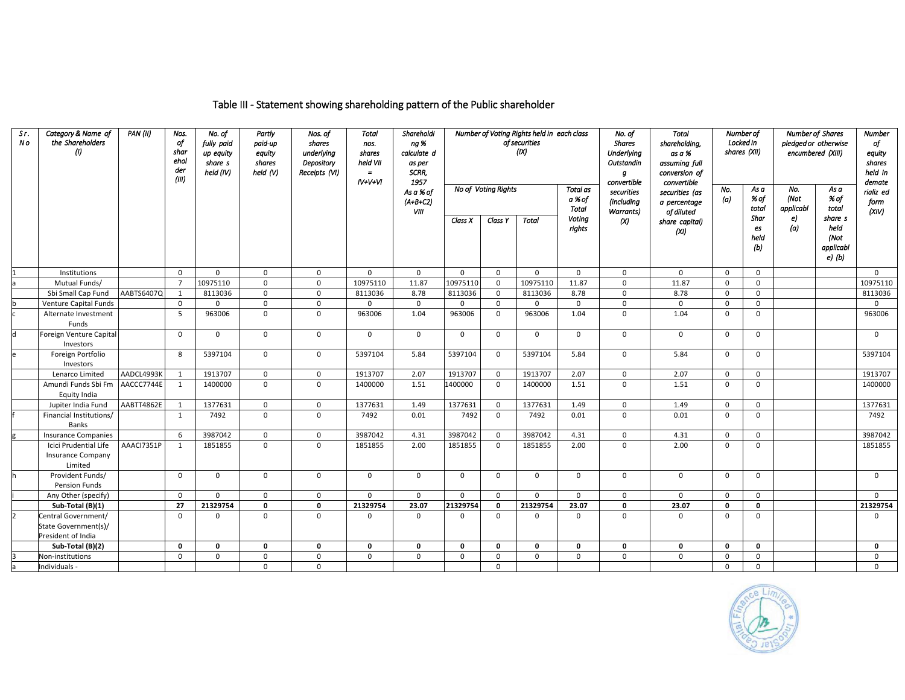### $\overline{\mathcal{S}r}$ . *N o Category & Name of the Shareholders (I) PAN (II) Nos. of shar ehol der (III) No. of fully paid up equity share s held (IV) Partly paid-up equity shares held (V) Nos. of shares underlying Depository Receipts (VI) Total nos. shares held VII = IV+V+VI Shareholdi ng % calculate d as per SCRR, 1957 As a % of (A+B+C2) VIII Number of Voting Rights held in each class of securities (IX) No. of Shares Underlying Outstandin g convertible securities (including Warrants) (X) Total shareholding, as a % assuming full conversion of convertible securities (as a percentage of diluted share capital) (XI) Number of Locked in shares (XII) Number of Shares pledged or otherwise encumbered (XIII) Number of equity shares held in demate rializ ed form (XIV) No of Voting Rights Total as a % of Total Voting rights No. (a) As a % of total Shar es held (b) No. (Not applicabl e) (a) As a % of total share s held (Not applicabl e) (b) Class X Class Y Total* 1 Institutions 0 0 0 0 0 0 0 0 0 0 0 0 0 0 0 a | Mutual Funds/ | | 7 |10975110 | 0 | 0 | 10975110 | 11.87 |10975110 | 0 |10975110 | 11.87 | 0 | 0 | 0 | 11.87 | 0 | 0 | 11.87 | 0 | 10975110 Sbi Small Cap Fund |AABTS6407Q| 1 | 8113036 | 0 | 0 | 8113036 | 8.78 | 8113036 | 0 | 8113036 0 | 8.78 | 0 | 8.78 | 0 | 0 | 0 | 8113036 b Venture Capital Funds 0 0 0 0 0 0 0 0 0 0 0 0 0 0 0 Alternate Investment Funds 5 | 963006 | 0 | 0 | 963006 | 1.04 |963006 | 0 | 963006 | 1.04 | 0 | 1.04 | 0 | 0 | | | | | | | 963006 Foreign Venture Capital Investors 0 0 0 0 0 0 0 0 0 0 0 0 0 0 0 Foreign Portfolio Investors<br>Lenarco Limited 8 5397104 0 0 5397104 5.84 5397104 0 5397104 5.84 0 5.84 0 0 5397104 Lenarco Limited |AADCL4993K | 1 | 1913707 | 0 | 0 | 1913707 | 2.07 | 1913707 | 0 | 1913707 | 2.07 | 0 | 0 | 0 | 1913707 | 1913707 Amundi Funds Sbi Fm Equity India AACCC7744E| 1 |1400000 | 0 | 0 |1400000 | 1.51 |1400000 | 0 |1400000 | 1.51 | 0 | 1.51 | 0 | 0 | 1400000 | 1.51 Jupiter India Fund |AABTT4862E | 1 | 1377631 | 0 | 0 | 1377631 | 1.49 |1377631 0 |1377631 | 1.49 | 0 | 0 | 0 | 1377631 | 1377631 Financial Institutions/ Banks<br>Insurance Companies 1 | 7492 | 0 | 0 | 7492 | 0.01 | 7492 | 0. $\vert$  0.01 | 0 | 0.01 | 0 | 0 | 0 | 0 | 1492 g |Insurance Companies | | 6 | 3987042 | 0 | 0 | 3987042 | 4.31 | 3987042 | 0 | 3987042 | 4.31 | 0 | 4.31 | 0 | 0 | | | | | 3987042 Icici Prudential Life Insurance Company Limited AAACI7351P | 1 | 1851855 | 0 | 0 | 1851855 | 2.00 |1851855 | 2.00 | 0 | 2.00 | 0 | 0 | | | 1851855 Provident Funds/ Pension Funds 0 0 0 0 0 0 0 0 0 0 0 0 0 0 0 i Any Other (specify) 0 0 0 0 0 0 0 0 0 0 0 0 0 0 0 **Sub-Total (B)(1) 27 21329754 0 0 21329754 23.07 21329754 0 21329754 23.07 0 23.07 0 0 21329754** 2 Central Government/ State Government(s)/ President of India 0 0 0 0 0 0 0 0 0 0 0 0 0 0 0 **Sub-Total (B)(2) 0 0 0 0 0 0 0 0 0 0 0 0 0 0 0** 3 Non-institutions 0 0 0 0 0 0 0 0 0 0 0 0 0 0 0 a Individuals - 0 0 0 0 0 0

### Table III - Statement showing shareholding pattern of the Public shareholder

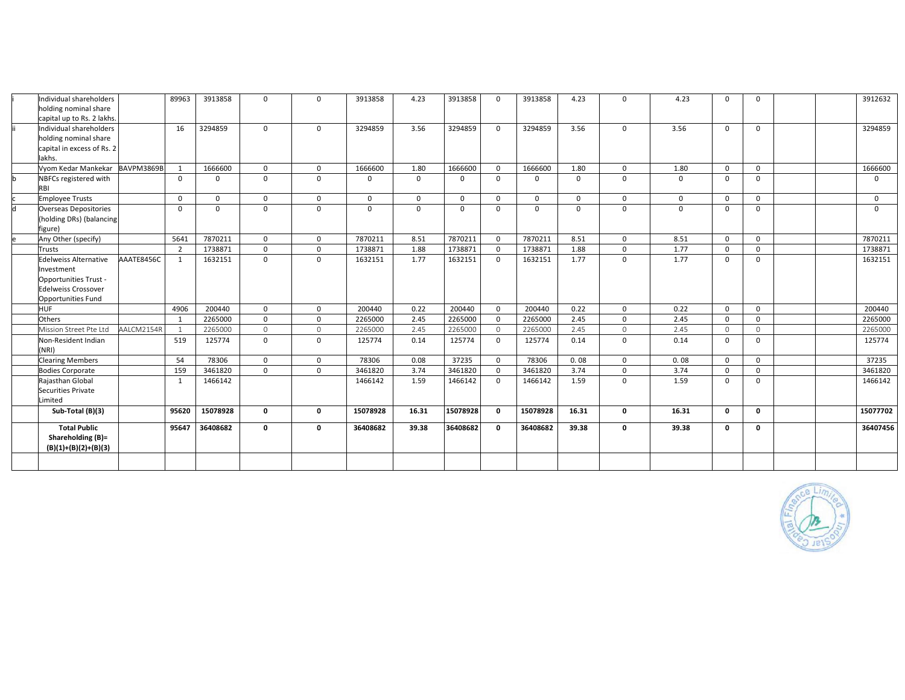|   | Individual shareholders        |            | 89963          | 3913858  | $\mathbf 0$    | 0            | 3913858      | 4.23         | 3913858  | $\mathbf 0$    | 3913858      | 4.23     | $\Omega$     | 4.23         | $\mathbf{0}$   | $\Omega$     |  | 3912632      |
|---|--------------------------------|------------|----------------|----------|----------------|--------------|--------------|--------------|----------|----------------|--------------|----------|--------------|--------------|----------------|--------------|--|--------------|
|   | holding nominal share          |            |                |          |                |              |              |              |          |                |              |          |              |              |                |              |  |              |
|   | capital up to Rs. 2 lakhs.     |            |                |          |                |              |              |              |          |                |              |          |              |              |                |              |  |              |
|   | Individual shareholders        |            | 16             | 3294859  | $\overline{0}$ | $\mathbf{0}$ | 3294859      | 3.56         | 3294859  | $\Omega$       | 3294859      | 3.56     | $\Omega$     | 3.56         | $\Omega$       | $\Omega$     |  | 3294859      |
|   | holding nominal share          |            |                |          |                |              |              |              |          |                |              |          |              |              |                |              |  |              |
|   | capital in excess of Rs. 2     |            |                |          |                |              |              |              |          |                |              |          |              |              |                |              |  |              |
|   | lakhs.                         |            |                |          |                |              |              |              |          |                |              |          |              |              |                |              |  |              |
|   | Vyom Kedar Mankekar BAVPM3869B |            | $\mathbf{1}$   | 1666600  | $\mathbf 0$    | $\mathbf{0}$ | 1666600      | 1.80         | 1666600  | $\Omega$       | 1666600      | 1.80     | $\mathbf{0}$ | 1.80         | $\Omega$       | $\Omega$     |  | 1666600      |
|   | NBFCs registered with          |            | $\mathbf{0}$   | $\Omega$ | $\mathbf{0}$   | $\mathbf{0}$ | $\mathbf{0}$ | $\mathbf{0}$ | $\Omega$ | $\mathbf{0}$   | $\mathbf 0$  | $\Omega$ | $\mathbf 0$  | $\mathbf{0}$ | $\Omega$       | $\Omega$     |  | $\mathbf{0}$ |
|   | RBI                            |            |                |          |                |              |              |              |          |                |              |          |              |              |                |              |  |              |
|   | <b>Employee Trusts</b>         |            | $\mathbf 0$    | $\Omega$ | $\mathbf 0$    | $\mathbf{0}$ | $\mathbf 0$  | $\mathbf 0$  | $\Omega$ | $\Omega$       | $\mathbf{0}$ | $\Omega$ | $\mathbf 0$  | $\mathbf 0$  | $\Omega$       | $\Omega$     |  | $\Omega$     |
| Ч | <b>Overseas Depositories</b>   |            | $\Omega$       | $\Omega$ | $\mathbf 0$    | $\mathbf{0}$ | $\mathbf 0$  | $\mathbf 0$  | $\Omega$ | $\Omega$       | $\mathbf 0$  | $\Omega$ | $\Omega$     | $\mathbf 0$  | $\Omega$       | $\Omega$     |  | $\Omega$     |
|   | (holding DRs) (balancing       |            |                |          |                |              |              |              |          |                |              |          |              |              |                |              |  |              |
|   | figure)                        |            |                |          |                |              |              |              |          |                |              |          |              |              |                |              |  |              |
|   | Any Other (specify)            |            | 5641           | 7870211  | $\mathbf 0$    | $\mathbf{0}$ | 7870211      | 8.51         | 7870211  | $\mathbf{0}$   | 7870211      | 8.51     | $\mathbf 0$  | 8.51         | $\overline{0}$ | $\mathbf 0$  |  | 7870211      |
|   | Trusts                         |            | $\overline{2}$ | 1738871  | $\mathbf{0}$   | $\mathbf{0}$ | 1738871      | 1.88         | 1738871  | $\Omega$       | 1738871      | 1.88     | $\mathbf 0$  | 1.77         | $\overline{0}$ | $\Omega$     |  | 1738871      |
|   | <b>Edelweiss Alternative</b>   | AAATE8456C | 1              | 1632151  | $\Omega$       | $\mathbf{0}$ | 1632151      | 1.77         | 1632151  | $\overline{0}$ | 1632151      | 1.77     | $\Omega$     | 1.77         | $\Omega$       | $\Omega$     |  | 1632151      |
|   | Investment                     |            |                |          |                |              |              |              |          |                |              |          |              |              |                |              |  |              |
|   | Opportunities Trust -          |            |                |          |                |              |              |              |          |                |              |          |              |              |                |              |  |              |
|   | <b>Edelweiss Crossover</b>     |            |                |          |                |              |              |              |          |                |              |          |              |              |                |              |  |              |
|   | Opportunities Fund             |            |                |          |                |              |              |              | 200440   |                |              | 0.22     |              | 0.22         | $\Omega$       | $\Omega$     |  |              |
|   | <b>HUF</b>                     |            | 4906           | 200440   | $\mathbf{0}$   | $\mathbf{0}$ | 200440       | 0.22         |          | $\overline{0}$ | 200440       |          | $\mathbf{0}$ |              |                |              |  | 200440       |
|   | Others                         |            | 1              | 2265000  | $\mathbf 0$    | $\mathbf{0}$ | 2265000      | 2.45         | 2265000  | $\mathbf{0}$   | 2265000      | 2.45     | $\mathbf{0}$ | 2.45         | $\overline{0}$ | $\mathbf 0$  |  | 2265000      |
|   | Mission Street Pte Ltd         | AALCM2154R | $\overline{1}$ | 2265000  | $\Omega$       | $\Omega$     | 2265000      | 2.45         | 2265000  | $\Omega$       | 2265000      | 2.45     | $\Omega$     | 2.45         | $\Omega$       | $\Omega$     |  | 2265000      |
|   | Non-Resident Indian            |            | 519            | 125774   | $\overline{0}$ | $\mathbf{0}$ | 125774       | 0.14         | 125774   | $\overline{0}$ | 125774       | 0.14     | $\mathbf 0$  | 0.14         | $\mathbf 0$    | $\Omega$     |  | 125774       |
|   | (NRI)                          |            |                | 78306    |                |              |              |              | 37235    |                | 78306        |          |              |              |                |              |  | 37235        |
|   | <b>Clearing Members</b>        |            | 54             |          | $\mathbf{0}$   | $\mathbf{0}$ | 78306        | 0.08         |          | $\overline{0}$ |              | 0.08     | $\mathbf{0}$ | 0.08         | $\mathbf 0$    | $\mathbf 0$  |  |              |
|   | <b>Bodies Corporate</b>        |            | 159            | 3461820  | $\mathbf 0$    | $\mathbf{0}$ | 3461820      | 3.74         | 3461820  | $\Omega$       | 3461820      | 3.74     | $\mathbf{0}$ | 3.74         | $\Omega$       | $\Omega$     |  | 3461820      |
|   | Rajasthan Global               |            | 1              | 1466142  |                |              | 1466142      | 1.59         | 1466142  | $\overline{0}$ | 1466142      | 1.59     | $\mathbf 0$  | 1.59         | $\mathbf 0$    | $\mathbf 0$  |  | 1466142      |
|   | Securities Private<br>Limited  |            |                |          |                |              |              |              |          |                |              |          |              |              |                |              |  |              |
|   | Sub-Total (B)(3)               |            | 95620          | 15078928 | $\mathbf{0}$   | 0            | 15078928     | 16.31        | 15078928 | $\mathbf{0}$   | 15078928     | 16.31    | $\mathbf{0}$ | 16.31        | $\mathbf{0}$   | $\mathbf{0}$ |  | 15077702     |
|   |                                |            |                |          |                |              |              |              |          |                |              |          |              |              |                |              |  |              |
|   | <b>Total Public</b>            |            | 95647          | 36408682 | $\mathbf 0$    | 0            | 36408682     | 39.38        | 36408682 | $\mathbf 0$    | 36408682     | 39.38    | $\mathbf 0$  | 39.38        | $\mathbf 0$    | 0            |  | 36407456     |
|   | Shareholding (B)=              |            |                |          |                |              |              |              |          |                |              |          |              |              |                |              |  |              |
|   | $(B)(1)+(B)(2)+(B)(3)$         |            |                |          |                |              |              |              |          |                |              |          |              |              |                |              |  |              |
|   |                                |            |                |          |                |              |              |              |          |                |              |          |              |              |                |              |  |              |
|   |                                |            |                |          |                |              |              |              |          |                |              |          |              |              |                |              |  |              |